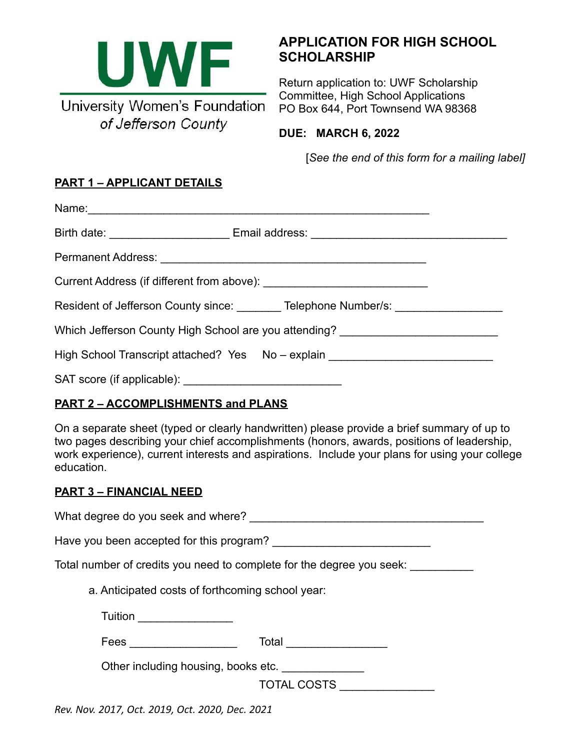

# **APPLICATION FOR HIGH SCHOOL SCHOLARSHIP**

Return application to: UWF Scholarship Committee, High School Applications PO Box 644, Port Townsend WA 98368

**DUE: MARCH 6, 2022**

[*See the end of this form for a mailing label]*

## **PART 1 – APPLICANT DETAILS**

| Resident of Jefferson County since: ________ Telephone Number/s: _______________ |                                                                                  |
|----------------------------------------------------------------------------------|----------------------------------------------------------------------------------|
|                                                                                  | Which Jefferson County High School are you attending? __________________________ |
|                                                                                  | High School Transcript attached? Yes No - explain ______________________________ |
|                                                                                  |                                                                                  |

### **PART 2 – ACCOMPLISHMENTS and PLANS**

On a separate sheet (typed or clearly handwritten) please provide a brief summary of up to two pages describing your chief accomplishments (honors, awards, positions of leadership, work experience), current interests and aspirations. Include your plans for using your college education.

#### **PART 3 – FINANCIAL NEED**

What degree do you seek and where? \_\_\_\_\_\_\_\_\_\_\_\_\_\_\_\_\_\_\_\_\_\_\_\_\_\_\_\_\_\_\_\_\_\_\_\_\_

Have you been accepted for this program? \_\_\_\_\_\_\_\_\_\_\_\_\_\_\_\_\_\_\_\_\_\_\_\_\_

Total number of credits you need to complete for the degree you seek:

a. Anticipated costs of forthcoming school year:

Tuition \_\_\_\_\_\_\_\_\_\_\_\_\_\_\_

Fees \_\_\_\_\_\_\_\_\_\_\_\_\_\_\_\_\_ Total \_\_\_\_\_\_\_\_\_\_\_\_\_\_\_\_

Other including housing, books etc. \_\_\_\_\_\_\_\_\_\_\_\_\_\_\_

TOTAL COSTS \_\_\_\_\_\_\_\_\_\_\_\_\_\_\_

*Rev. Nov. 2017, Oct. 2019, Oct. 2020, Dec. 2021*